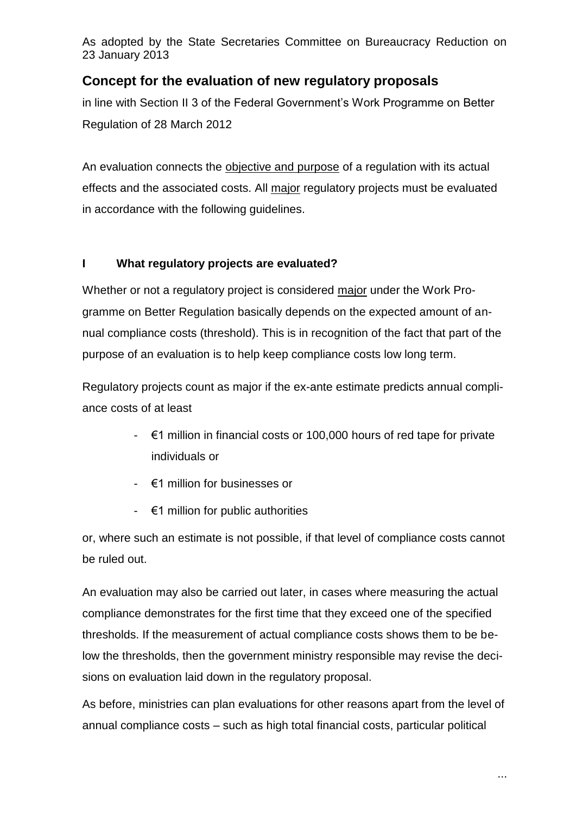As adopted by the State Secretaries Committee on Bureaucracy Reduction on 23 January 2013

# **Concept for the evaluation of new regulatory proposals**

in line with Section II 3 of the Federal Government's Work Programme on Better Regulation of 28 March 2012

An evaluation connects the objective and purpose of a regulation with its actual effects and the associated costs. All major regulatory projects must be evaluated in accordance with the following guidelines.

## **I What regulatory projects are evaluated?**

Whether or not a regulatory project is considered major under the Work Programme on Better Regulation basically depends on the expected amount of annual compliance costs (threshold). This is in recognition of the fact that part of the purpose of an evaluation is to help keep compliance costs low long term.

Regulatory projects count as major if the ex-ante estimate predicts annual compliance costs of at least

- €1 million in financial costs or 100,000 hours of red tape for private individuals or
- €1 million for businesses or
- €1 million for public authorities

or, where such an estimate is not possible, if that level of compliance costs cannot be ruled out.

An evaluation may also be carried out later, in cases where measuring the actual compliance demonstrates for the first time that they exceed one of the specified thresholds. If the measurement of actual compliance costs shows them to be below the thresholds, then the government ministry responsible may revise the decisions on evaluation laid down in the regulatory proposal.

As before, ministries can plan evaluations for other reasons apart from the level of annual compliance costs – such as high total financial costs, particular political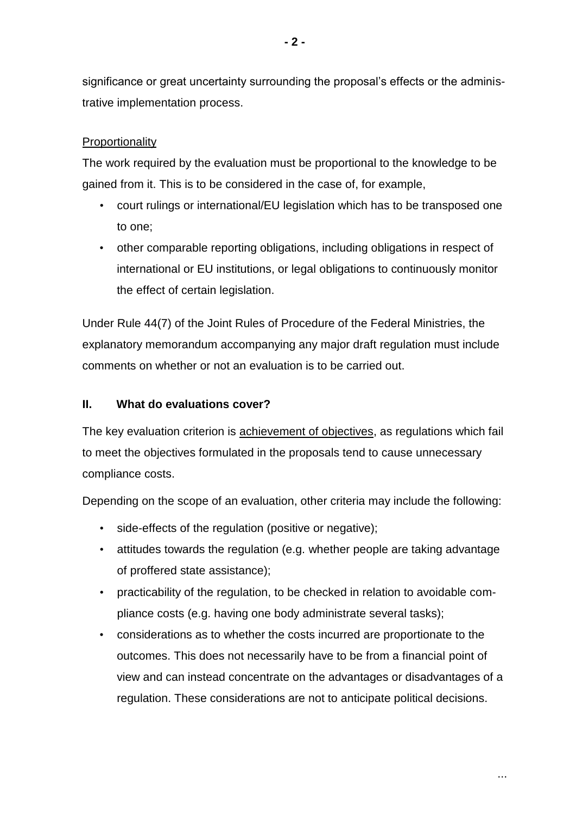significance or great uncertainty surrounding the proposal's effects or the administrative implementation process.

### **Proportionality**

The work required by the evaluation must be proportional to the knowledge to be gained from it. This is to be considered in the case of, for example,

- court rulings or international/EU legislation which has to be transposed one to one;
- other comparable reporting obligations, including obligations in respect of international or EU institutions, or legal obligations to continuously monitor the effect of certain legislation.

Under Rule 44(7) of the Joint Rules of Procedure of the Federal Ministries, the explanatory memorandum accompanying any major draft regulation must include comments on whether or not an evaluation is to be carried out.

### **II. What do evaluations cover?**

The key evaluation criterion is achievement of objectives, as regulations which fail to meet the objectives formulated in the proposals tend to cause unnecessary compliance costs.

Depending on the scope of an evaluation, other criteria may include the following:

- side-effects of the regulation (positive or negative);
- attitudes towards the regulation (e.g. whether people are taking advantage of proffered state assistance);
- practicability of the regulation, to be checked in relation to avoidable compliance costs (e.g. having one body administrate several tasks);
- considerations as to whether the costs incurred are proportionate to the outcomes. This does not necessarily have to be from a financial point of view and can instead concentrate on the advantages or disadvantages of a regulation. These considerations are not to anticipate political decisions.